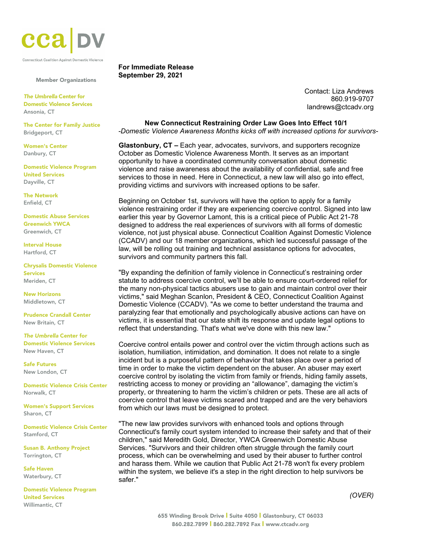

Connecticut Coalition Against Domestic Violence

Member Organizations

*The Umbrella* Center for Domestic Violence Services Ansonia, CT

The Center for Family Justice Bridgeport, CT

Women's Center Danbury, CT

Domestic Violence Program United Services Dayville, CT

The Network Enfield, CT

Domestic Abuse Services Greenwich YWCA Greenwich, CT

Interval House Hartford, CT

Chrysalis Domestic Violence Services Meriden, CT

New Horizons Middletown, CT

Prudence Crandall Center New Britain, CT

*The Umbrella* Center for Domestic Violence Services New Haven, CT

Safe Futures New London, CT

Domestic Violence Crisis Center Norwalk, CT

Women's Support Services Sharon, CT

Domestic Violence Crisis Center Stamford, CT

Susan B. Anthony Project Torrington, CT

Safe Haven Waterbury, CT

Domestic Violence Program United Services Willimantic, CT

## **For Immediate Release September 29, 2021**

Contact: Liza Andrews 860.919-9707 [landrews@ctcadv.org](mailto:landrews@ctcadv.org)

**New Connecticut Restraining Order Law Goes Into Effect 10/1** *-Domestic Violence Awareness Months kicks off with increased options for survivors-*

**Glastonbury, CT –** Each year, advocates, survivors, and supporters recognize October as Domestic Violence Awareness Month. It serves as an important opportunity to have a coordinated community conversation about domestic violence and raise awareness about the availability of confidential, safe and free services to those in need. Here in Connecticut, a new law will also go into effect, providing victims and survivors with increased options to be safer.

Beginning on October 1st, survivors will have the option to apply for a family violence restraining order if they are experiencing coercive control. Signed into law earlier this year by Governor Lamont, this is a critical piece of Public Act 21-78 designed to address the real experiences of survivors with all forms of domestic violence, not just physical abuse. Connecticut Coalition Against Domestic Violence (CCADV) and our 18 member organizations, which led successful passage of the law, will be rolling out training and technical assistance options for advocates, survivors and community partners this fall.

"By expanding the definition of family violence in Connecticut's restraining order statute to address coercive control, we'll be able to ensure court-ordered relief for the many non-physical tactics abusers use to gain and maintain control over their victims," said Meghan Scanlon, President & CEO, Connecticut Coalition Against Domestic Violence (CCADV). "As we come to better understand the trauma and paralyzing fear that emotionally and psychologically abusive actions can have on victims, it is essential that our state shift its response and update legal options to reflect that understanding. That's what we've done with this new law."

Coercive control entails power and control over the victim through actions such as isolation, humiliation, intimidation, and domination. It does not relate to a single incident but is a purposeful pattern of behavior that takes place over a period of time in order to make the victim dependent on the abuser. An abuser may exert coercive control by isolating the victim from family or friends, hiding family assets, restricting access to money or providing an "allowance", damaging the victim's property, or threatening to harm the victim's children or pets. These are all acts of coercive control that leave victims scared and trapped and are the very behaviors from which our laws must be designed to protect.

"The new law provides survivors with enhanced tools and options through Connecticut's family court system intended to increase their safety and that of their children," said Meredith Gold, Director, YWCA Greenwich Domestic Abuse Services. "Survivors and their children often struggle through the family court process, which can be overwhelming and used by their abuser to further control and harass them. While we caution that Public Act 21-78 won't fix every problem within the system, we believe it's a step in the right direction to help survivors be safer."

*(OVER)*